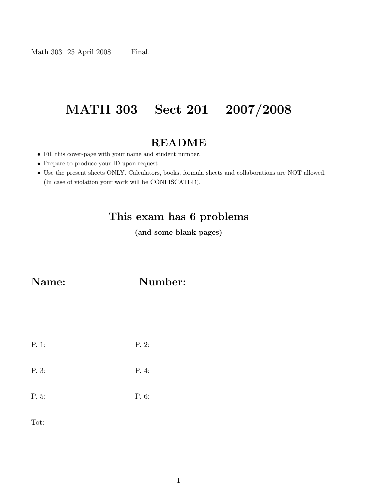# MATH 303 – Sect 201 – 2007/2008

## README

- Fill this cover-page with your name and student number.
- Prepare to produce your ID upon request.
- Use the present sheets ONLY. Calculators, books, formula sheets and collaborations are NOT allowed. (In case of violation your work will be CONFISCATED).

## This exam has 6 problems

(and some blank pages)

Name: Number:

| P. 1: | P.2   |
|-------|-------|
| P. 3: | P. 4: |
| P. 5: | P. 6: |

Tot: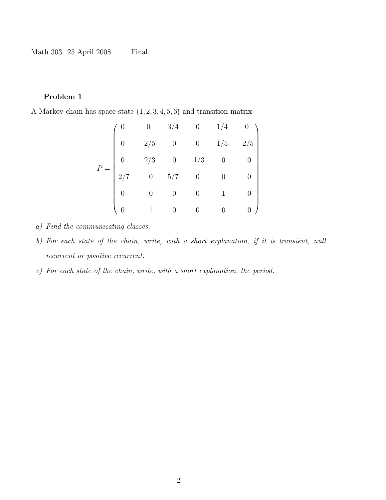### Problem 1

A Markov chain has space state {1, 2, 3, 4, 5, 6} and transition matrix

$$
P = \begin{pmatrix} 0 & 0 & 3/4 & 0 & 1/4 & 0 \\ 0 & 2/5 & 0 & 0 & 1/5 & 2/5 \\ 0 & 2/3 & 0 & 1/3 & 0 & 0 \\ 2/7 & 0 & 5/7 & 0 & 0 & 0 \\ 0 & 0 & 0 & 0 & 1 & 0 \\ 0 & 1 & 0 & 0 & 0 & 0 \end{pmatrix}
$$

- a) Find the communicating classes.
- b) For each state of the chain, write, with a short explanation, if it is transient, null recurrent or positive recurrent.
- c) For each state of the chain, write, with a short explanation, the period.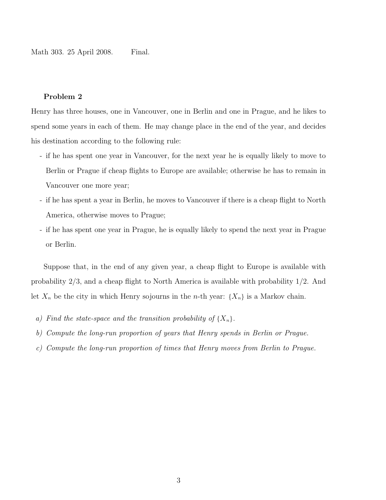#### Problem 2

Henry has three houses, one in Vancouver, one in Berlin and one in Prague, and he likes to spend some years in each of them. He may change place in the end of the year, and decides his destination according to the following rule:

- if he has spent one year in Vancouver, for the next year he is equally likely to move to Berlin or Prague if cheap flights to Europe are available; otherwise he has to remain in Vancouver one more year;
- if he has spent a year in Berlin, he moves to Vancouver if there is a cheap flight to North America, otherwise moves to Prague;
- if he has spent one year in Prague, he is equally likely to spend the next year in Prague or Berlin.

Suppose that, in the end of any given year, a cheap flight to Europe is available with probability 2/3, and a cheap flight to North America is available with probability 1/2. And let  $X_n$  be the city in which Henry sojourns in the *n*-th year:  $\{X_n\}$  is a Markov chain.

- a) Find the state-space and the transition probability of  $\{X_n\}$ .
- b) Compute the long-run proportion of years that Henry spends in Berlin or Prague.
- c) Compute the long-run proportion of times that Henry moves from Berlin to Prague.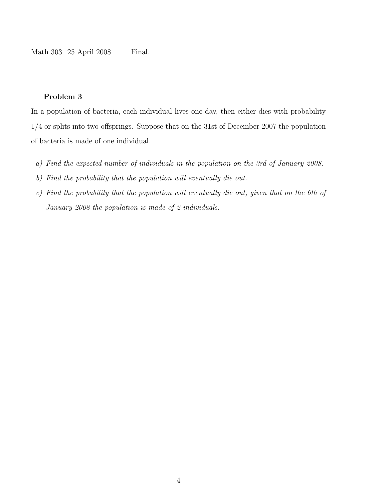#### Problem 3

In a population of bacteria, each individual lives one day, then either dies with probability 1/4 or splits into two offsprings. Suppose that on the 31st of December 2007 the population of bacteria is made of one individual.

- a) Find the expected number of individuals in the population on the 3rd of January 2008.
- b) Find the probability that the population will eventually die out.
- c) Find the probability that the population will eventually die out, given that on the 6th of January 2008 the population is made of 2 individuals.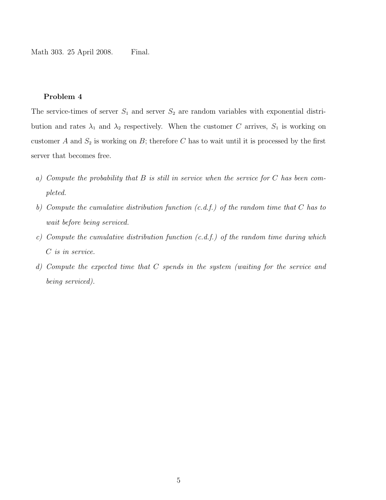#### Problem 4

The service-times of server  $S_1$  and server  $S_2$  are random variables with exponential distribution and rates  $\lambda_1$  and  $\lambda_2$  respectively. When the customer C arrives,  $S_1$  is working on customer A and  $S_2$  is working on B; therefore C has to wait until it is processed by the first server that becomes free.

- a) Compute the probability that  $B$  is still in service when the service for  $C$  has been completed.
- b) Compute the cumulative distribution function  $(c.d.f.)$  of the random time that C has to wait before being serviced.
- c) Compute the cumulative distribution function  $(c.d.f.)$  of the random time during which C is in service.
- d) Compute the expected time that C spends in the system (waiting for the service and being serviced).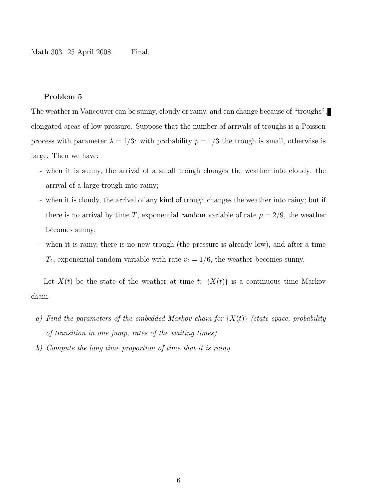#### Problem 5

The weather in Vancouver can be sunny, cloudy or rainy, and can change because of "troughs", elongated areas of low pressure. Suppose that the number of arrivals of troughs is a Poisson process with parameter  $\lambda = 1/3$ : with probability  $p = 1/3$  the trough is small, otherwise is large. Then we have:

- when it is sunny, the arrival of a small trough changes the weather into cloudy; the arrival of a large trough into rainy;
- when it is cloudy, the arrival of any kind of trough changes the weather into rainy; but if there is no arrival by time T, exponential random variable of rate  $\mu = 2/9$ , the weather becomes sunny;
- when it is rainy, there is no new trough (the pressure is already low), and after a time  $T_2$ , exponential random variable with rate  $v_2 = 1/6$ , the weather becomes sunny.

Let  $X(t)$  be the state of the weather at time t:  $\{X(t)\}\$ is a continuous time Markov chain.

- a) Find the parameters of the embedded Markov chain for  $\{X(t)\}\$  (state space, probability of transition in one jump, rates of the waiting times).
- b) Compute the long time proportion of time that it is rainy.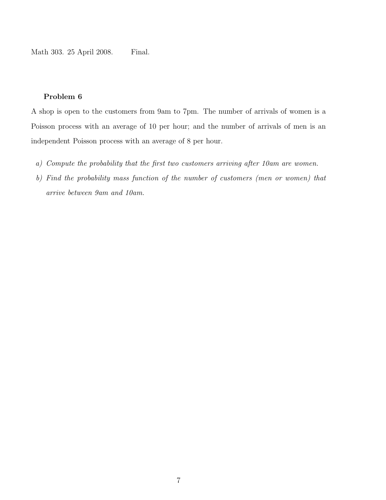#### Problem 6

A shop is open to the customers from 9am to 7pm. The number of arrivals of women is a Poisson process with an average of 10 per hour; and the number of arrivals of men is an independent Poisson process with an average of 8 per hour.

- a) Compute the probability that the first two customers arriving after 10am are women.
- b) Find the probability mass function of the number of customers (men or women) that arrive between 9am and 10am.